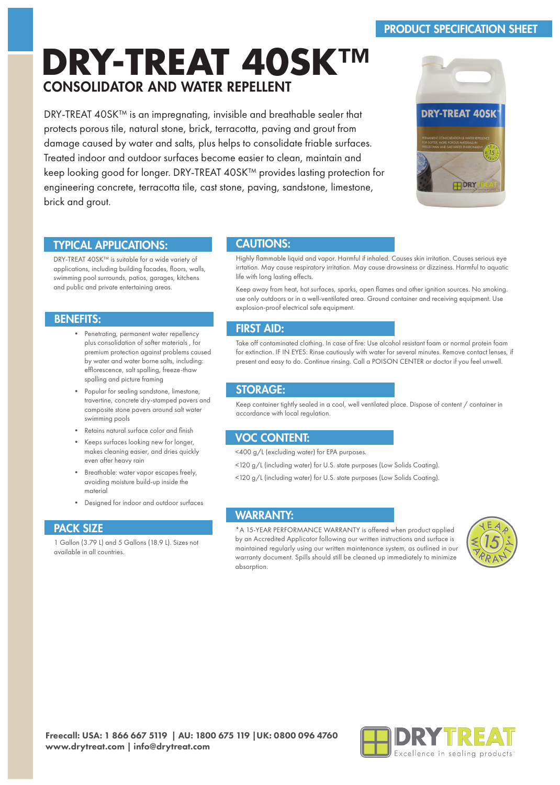# PRODUCT SPECIFICATION SHEET

# **DRY-TREAT 40SK™** CONSOLIDATOR AND WATER REPELLENT

DRY-TREAT 40SK™ is an impregnating, invisible and breathable sealer that protects porous tile, natural stone, brick, terracotta, paving and grout from damage caused by water and salts, plus helps to consolidate friable surfaces. Treated indoor and outdoor surfaces become easier to clean, maintain and keep looking good for longer. DRY-TREAT 40SK™ provides lasting protection for engineering concrete, terracotta tile, cast stone, paving, sandstone, limestone, brick and grout.



## TYPICAL APPLICATIONS:

DRY-TREAT 40SK™ is suitable for a wide variety of applications, including building facades, floors, walls, swimming pool surrounds, patios, garages, kitchens and public and private entertaining areas.

## BENEFITS:

- Penetrating, permanent water repellency plus consolidation of softer materials , for premium protection against problems caused by water and water borne salts, including: efflorescence, salt spalling, freeze-thaw spalling and picture framing
- Popular for sealing sandstone, limestone, travertine, concrete dry-stamped pavers and composite stone pavers around salt water swimming pools
- Retains natural surface color and finish
- Keeps surfaces looking new for longer, makes cleaning easier, and dries quickly even after heavy rain
- Breathable: water vapor escapes freely, avoiding moisture build-up inside the material
- Designed for indoor and outdoor surfaces

## PACK SIZE

1 Gallon (3.79 L) and 5 Gallons (18.9 L). Sizes not available in all countries.

## CAUTIONS:

Highly flammable liquid and vapor. Harmful if inhaled. Causes skin irritation. Causes serious eye irrtation. May cause respiratory irritation. May cause drowsiness or dizziness. Harmful to aquatic life with long lasting effects.

Keep away from heat, hot surfaces, sparks, open flames and other ignition sources. No smoking. use only outdoors or in a well-ventilated area. Ground container and receiving equipment. Use explosion-proof electrical safe equipment.

## FIRST AID:

Take off contaminated clothing. In case of fire: Use alcohol resistant foam or normal protein foam for extinction. IF IN EYES: Rinse cautiously with water for several minutes. Remove contact lenses, if present and easy to do. Continue rinsing. Call a POISON CENTER or doctor if you feel unwell.

## STORAGE:

Keep container tightly sealed in a cool, well ventilated place. Dispose of content / container in accordance with local regulation.

## VOC CONTENT:

<400 g/L (excluding water) for EPA purposes.

- <120 g/L (including water) for U.S. state purposes (Low Solids Coating).
- <120 g/L (including water) for U.S. state purposes (Low Solids Coating).

# WARRANTY:

\*A 15-YEAR PERFORMANCE WARRANTY is offered when product applied by an Accredited Applicator following our written instructions and surface is maintained regularly using our written maintenance system, as outlined in our warranty document. Spills should still be cleaned up immediately to minimize absorption.



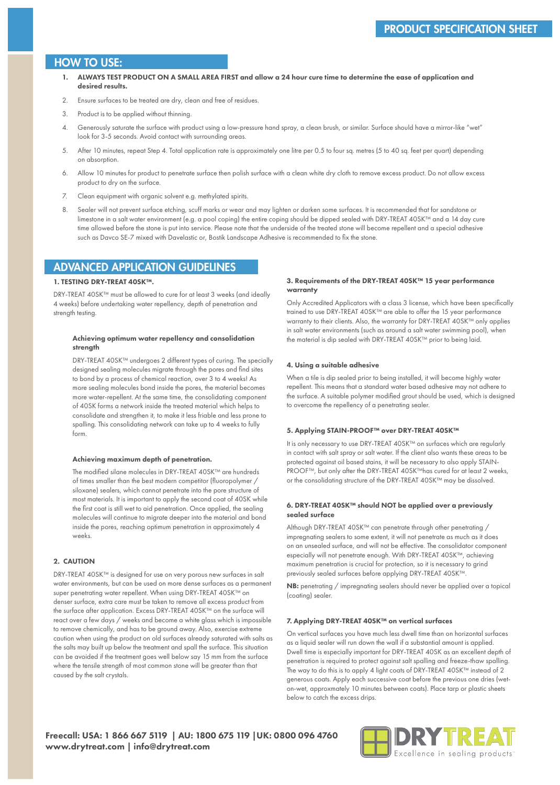### HOW TO USE:

- 1. ALWAYS TEST PRODUCT ON A SMALL AREA FIRST and allow a 24 hour cure time to determine the ease of application and desired results.
- 2. Ensure surfaces to be treated are dry, clean and free of residues.
- 3. Product is to be applied without thinning.
- 4. Generously saturate the surface with product using a low-pressure hand spray, a clean brush, or similar. Surface should have a mirror-like "wet" look for 3-5 seconds. Avoid contact with surrounding areas.
- 5. After 10 minutes, repeat Step 4. Total application rate is approximately one litre per 0.5 to four sq. metres (5 to 40 sq. feet per quart) depending on absorption.
- 6. Allow 10 minutes for product to penetrate surface then polish surface with a clean white dry cloth to remove excess product. Do not allow excess product to dry on the surface.
- 7. Clean equipment with organic solvent e.g. methylated spirits.
- 8. Sealer will not prevent surface etching, scuff marks or wear and may lighten or darken some surfaces. It is recommended that for sandstone or limestone in a salt water environment (e.g. a pool coping) the entire coping should be dipped sealed with DRY-TREAT 40SK™ and a 14 day cure time allowed before the stone is put into service. Please note that the underside of the treated stone will become repellent and a special adhesive such as Davco SE-7 mixed with Davelastic or, Bostik Landscape Adhesive is recommended to fix the stone.

## ADVANCED APPLICATION GUIDELINES

#### 1. TESTING DRY-TREAT 40SK™.

DRY-TREAT 40SK™ must be allowed to cure for at least 3 weeks (and ideally 4 weeks) before undertaking water repellency, depth of penetration and strength testing.

#### Achieving optimum water repellency and consolidation strength

DRY-TREAT 40SK™ undergoes 2 different types of curing. The specially designed sealing molecules migrate through the pores and find sites to bond by a process of chemical reaction, over 3 to 4 weeks! As more sealing molecules bond inside the pores, the material becomes more water-repellent. At the same time, the consolidating component of 40SK forms a network inside the treated material which helps to consolidate and strengthen it, to make it less friable and less prone to spalling. This consolidating network can take up to 4 weeks to fully form.

#### Achieving maximum depth of penetration.

The modified silane molecules in DRY-TREAT 40SK™ are hundreds of times smaller than the best modern competitor (fluoropolymer / siloxane) sealers, which cannot penetrate into the pore structure of most materials. It is important to apply the second coat of 40SK while the first coat is still wet to aid penetration. Once applied, the sealing molecules will continue to migrate deeper into the material and bond inside the pores, reaching optimum penetration in approximately 4 weeks.

#### 2. CAUTION

DRY-TREAT 40SK™ is designed for use on very porous new surfaces in salt water environments, but can be used on more dense surfaces as a permanent super penetrating water repellent. When using DRY-TREAT 40SK™ on denser surface, extra care must be taken to remove all excess product from the surface after application. Excess DRY-TREAT 40SK™ on the surface will react over a few days / weeks and become a white glass which is impossible to remove chemically, and has to be ground away. Also, exercise extreme caution when using the product on old surfaces already saturated with salts as the salts may built up below the treatment and spall the surface. This situation can be avoided if the treatment goes well below say 15 mm from the surface where the tensile strength of most common stone will be greater than that caused by the salt crystals.

#### 3. Requirements of the DRY-TREAT 40SK™ 15 year performance warranty

Only Accredited Applicators with a class 3 license, which have been specifically trained to use DRY-TREAT 40SK™ are able to offer the 15 year performance warranty to their clients. Also, the warranty for DRY-TREAT 40SK™ only applies in salt water environments (such as around a salt water swimming pool), when the material is dip sealed with DRY-TREAT 40SK™ prior to being laid.

#### 4. Using a suitable adhesive

When a tile is dip sealed prior to being installed, it will become highly water repellent. This means that a standard water based adhesive may not adhere to the surface. A suitable polymer modified grout should be used, which is designed to overcome the repellency of a penetrating sealer.

#### 5. Applying STAIN-PROOF™ over DRY-TREAT 40SK™

It is only necessary to use DRY-TREAT 40SK™ on surfaces which are regularly in contact with salt spray or salt water. If the client also wants these areas to be protected against oil based stains, it will be necessary to also apply STAIN-PROOF™, but only after the DRY-TREAT 40SK™has cured for at least 2 weeks, or the consolidating structure of the DRY-TREAT 40SK™ may be dissolved.

#### 6. DRY-TREAT 40SK™ should NOT be applied over a previously sealed surface

Although DRY-TREAT 40SK™ can penetrate through other penetrating / impregnating sealers to some extent, it will not penetrate as much as it does on an unsealed surface, and will not be effective. The consolidator component especially will not penetrate enough. With DRY-TREAT 40SK™, achieving maximum penetration is crucial for protection, so it is necessary to grind previously sealed surfaces before applying DRY-TREAT 40SK™.

NB: penetrating / impregnating sealers should never be applied over a topical (coating) sealer.

#### 7. Applying DRY-TREAT 40SK™ on vertical surfaces

On vertical surfaces you have much less dwell time than on horizontal surfaces as a liquid sealer will run down the wall if a substantial amount is applied. Dwell time is especially important for DRY-TREAT 40SK as an excellent depth of penetration is required to protect against salt spalling and freeze-thaw spalling. The way to do this is to apply 4 light coats of DRY-TREAT 40SK™ instead of 2 generous coats. Apply each successive coat before the previous one dries (weton-wet, approxmately 10 minutes between coats). Place tarp or plastic sheets below to catch the excess drips.